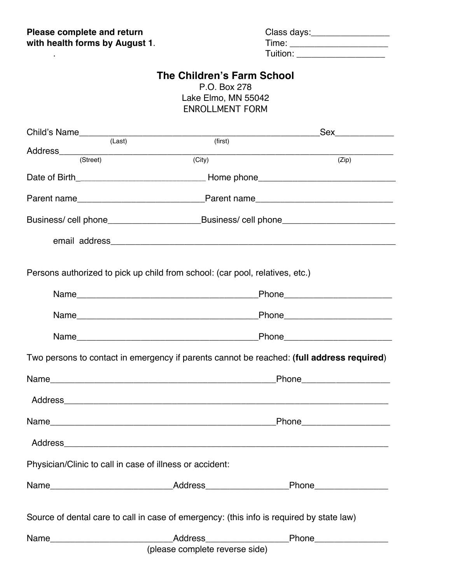| Please complete and return     | Class days: |
|--------------------------------|-------------|
| with health forms by August 1. | Γime:       |
|                                | Tuition:    |

## **The Children's Farm School**

P.O. Box 278 Lake Elmo, MN 55042 ENROLLMENT FORM

|                                                                                           |        | Sex_____________                                                                                     |  |
|-------------------------------------------------------------------------------------------|--------|------------------------------------------------------------------------------------------------------|--|
|                                                                                           | (Last) | (first)                                                                                              |  |
| (Street)                                                                                  | (City) | (Zip)                                                                                                |  |
|                                                                                           |        |                                                                                                      |  |
|                                                                                           |        |                                                                                                      |  |
|                                                                                           |        | Business/ cell phone___________________________Business/ cell phone_________________________________ |  |
|                                                                                           |        |                                                                                                      |  |
| Persons authorized to pick up child from school: (car pool, relatives, etc.)              |        |                                                                                                      |  |
|                                                                                           |        | _Phone__________________________                                                                     |  |
|                                                                                           |        |                                                                                                      |  |
|                                                                                           |        |                                                                                                      |  |
| Two persons to contact in emergency if parents cannot be reached: (full address required) |        |                                                                                                      |  |
|                                                                                           |        | _Phone______________________                                                                         |  |
|                                                                                           |        |                                                                                                      |  |
|                                                                                           |        | Phone____________________                                                                            |  |
|                                                                                           |        |                                                                                                      |  |
| Physician/Clinic to call in case of illness or accident:                                  |        |                                                                                                      |  |
|                                                                                           |        | Name_________________________________Address________________________Phone__________________________  |  |
| Source of dental care to call in case of emergency: (this info is required by state law)  |        |                                                                                                      |  |
| Name                                                                                      |        | _Address__________________________Phone____________________                                          |  |
| (please complete reverse side)                                                            |        |                                                                                                      |  |